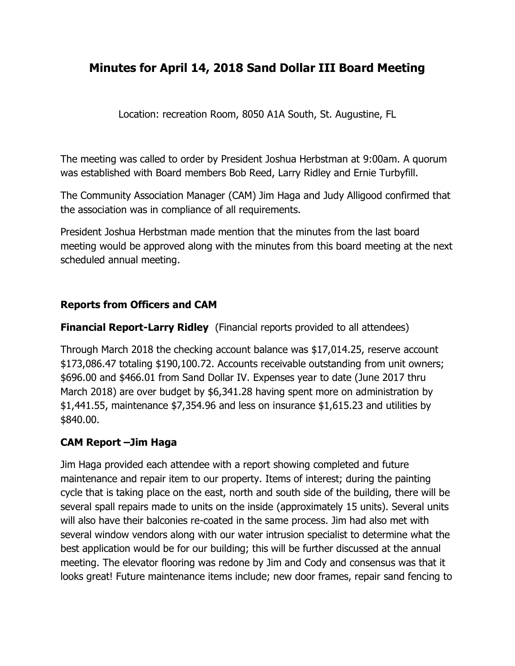# **Minutes for April 14, 2018 Sand Dollar III Board Meeting**

Location: recreation Room, 8050 A1A South, St. Augustine, FL

The meeting was called to order by President Joshua Herbstman at 9:00am. A quorum was established with Board members Bob Reed, Larry Ridley and Ernie Turbyfill.

The Community Association Manager (CAM) Jim Haga and Judy Alligood confirmed that the association was in compliance of all requirements.

President Joshua Herbstman made mention that the minutes from the last board meeting would be approved along with the minutes from this board meeting at the next scheduled annual meeting.

#### **Reports from Officers and CAM**

**Financial Report-Larry Ridley** (Financial reports provided to all attendees)

Through March 2018 the checking account balance was \$17,014.25, reserve account \$173,086.47 totaling \$190,100.72. Accounts receivable outstanding from unit owners; \$696.00 and \$466.01 from Sand Dollar IV. Expenses year to date (June 2017 thru March 2018) are over budget by \$6,341.28 having spent more on administration by \$1,441.55, maintenance \$7,354.96 and less on insurance \$1,615.23 and utilities by \$840.00.

#### **CAM Report –Jim Haga**

Jim Haga provided each attendee with a report showing completed and future maintenance and repair item to our property. Items of interest; during the painting cycle that is taking place on the east, north and south side of the building, there will be several spall repairs made to units on the inside (approximately 15 units). Several units will also have their balconies re-coated in the same process. Jim had also met with several window vendors along with our water intrusion specialist to determine what the best application would be for our building; this will be further discussed at the annual meeting. The elevator flooring was redone by Jim and Cody and consensus was that it looks great! Future maintenance items include; new door frames, repair sand fencing to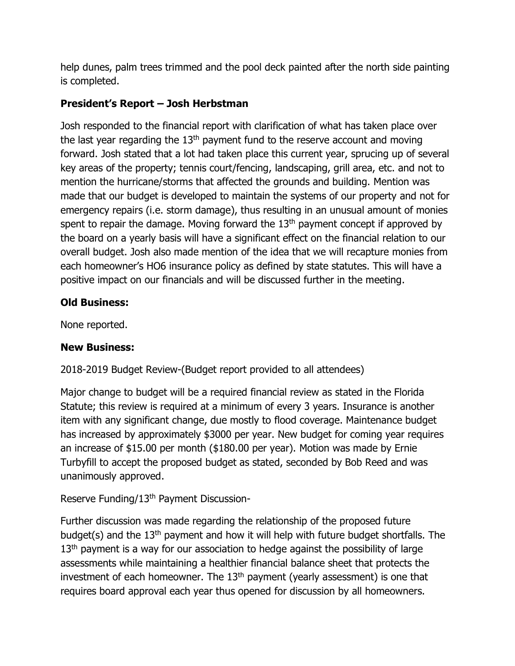help dunes, palm trees trimmed and the pool deck painted after the north side painting is completed.

### **President's Report – Josh Herbstman**

Josh responded to the financial report with clarification of what has taken place over the last year regarding the  $13<sup>th</sup>$  payment fund to the reserve account and moving forward. Josh stated that a lot had taken place this current year, sprucing up of several key areas of the property; tennis court/fencing, landscaping, grill area, etc. and not to mention the hurricane/storms that affected the grounds and building. Mention was made that our budget is developed to maintain the systems of our property and not for emergency repairs (i.e. storm damage), thus resulting in an unusual amount of monies spent to repair the damage. Moving forward the  $13<sup>th</sup>$  payment concept if approved by the board on a yearly basis will have a significant effect on the financial relation to our overall budget. Josh also made mention of the idea that we will recapture monies from each homeowner's HO6 insurance policy as defined by state statutes. This will have a positive impact on our financials and will be discussed further in the meeting.

#### **Old Business:**

None reported.

#### **New Business:**

## 2018-2019 Budget Review-(Budget report provided to all attendees)

Major change to budget will be a required financial review as stated in the Florida Statute; this review is required at a minimum of every 3 years. Insurance is another item with any significant change, due mostly to flood coverage. Maintenance budget has increased by approximately \$3000 per year. New budget for coming year requires an increase of \$15.00 per month (\$180.00 per year). Motion was made by Ernie Turbyfill to accept the proposed budget as stated, seconded by Bob Reed and was unanimously approved.

#### Reserve Funding/13th Payment Discussion-

Further discussion was made regarding the relationship of the proposed future budget(s) and the 13th payment and how it will help with future budget shortfalls. The  $13<sup>th</sup>$  payment is a way for our association to hedge against the possibility of large assessments while maintaining a healthier financial balance sheet that protects the investment of each homeowner. The 13<sup>th</sup> payment (yearly assessment) is one that requires board approval each year thus opened for discussion by all homeowners.